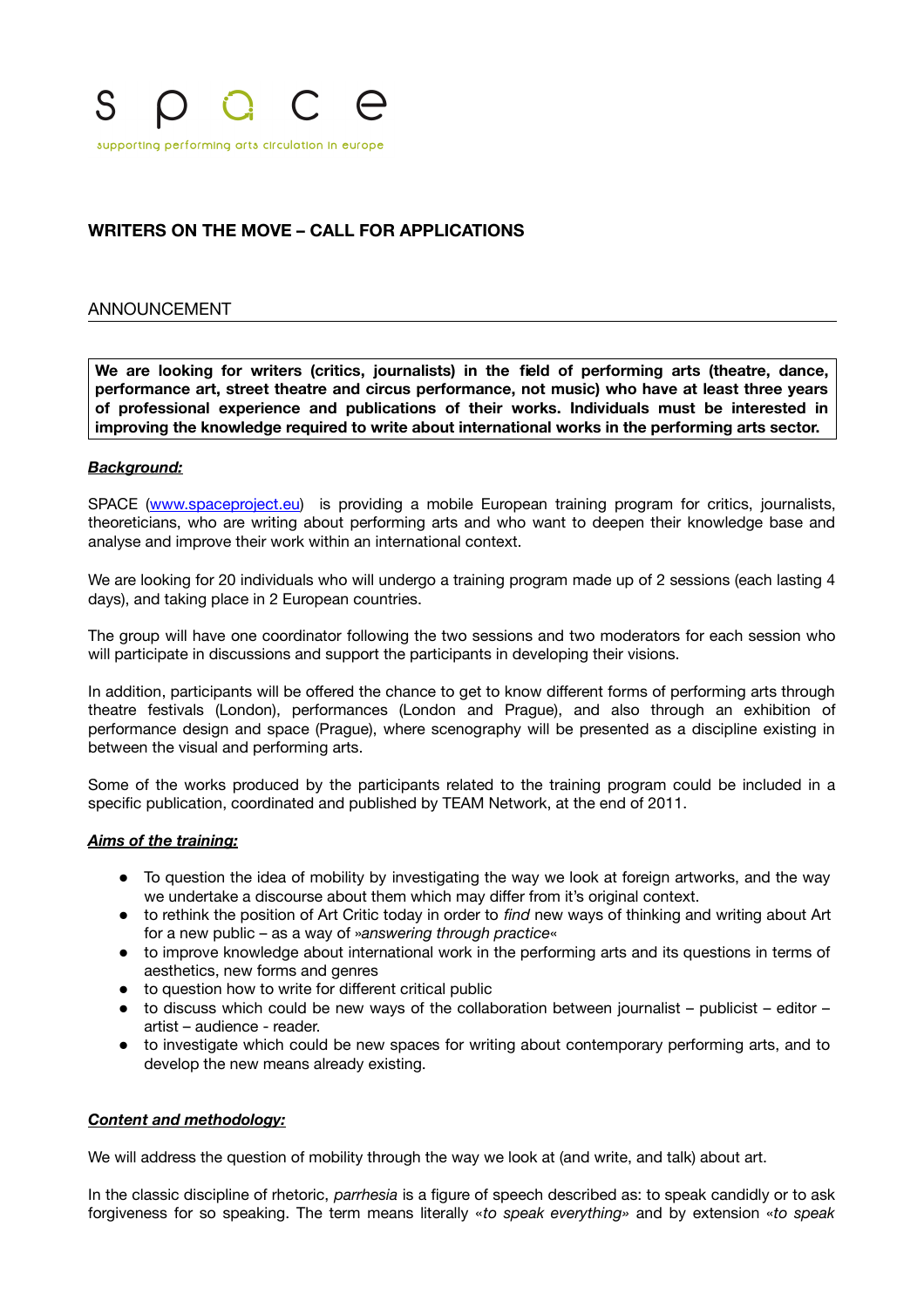

# **WRITERS ON THE MOVE – CALL FOR APPLICATIONS**

### ANNOUNCEMENT

**We are looking for writers (critics, journalists) in the feld of performing arts (theatre, dance, performance art, street theatre and circus performance, not music) who have at least three years of professional experience and publications of their works. Individuals must be interested in improving the knowledge required to write about international works in the performing arts sector.**

#### *Background:*

SPACE [\(www.spaceproject.eu\)](http://www.spaceproject.eu/) is providing a mobile European training program for critics, journalists, theoreticians, who are writing about performing arts and who want to deepen their knowledge base and analyse and improve their work within an international context.

We are looking for 20 individuals who will undergo a training program made up of 2 sessions (each lasting 4 days), and taking place in 2 European countries.

The group will have one coordinator following the two sessions and two moderators for each session who will participate in discussions and support the participants in developing their visions.

In addition, participants will be offered the chance to get to know different forms of performing arts through theatre festivals (London), performances (London and Prague), and also through an exhibition of performance design and space (Prague), where scenography will be presented as a discipline existing in between the visual and performing arts.

Some of the works produced by the participants related to the training program could be included in a specifc publication, coordinated and published by TEAM Network, at the end of 2011.

#### *Aims of the training:*

- To question the idea of mobility by investigating the way we look at foreign artworks, and the way we undertake a discourse about them which may differ from it's original context.
- to rethink the position of Art Critic today in order to *fnd* new ways of thinking and writing about Art for a new public – as a way of »*answering through practice*«
- to improve knowledge about international work in the performing arts and its questions in terms of aesthetics, new forms and genres
- to question how to write for different critical public
- to discuss which could be new ways of the collaboration between journalist publicist editor artist – audience - reader.
- to investigate which could be new spaces for writing about contemporary performing arts, and to develop the new means already existing.

#### *Content and methodology:*

We will address the question of mobility through the way we look at (and write, and talk) about art.

In the classic discipline of rhetoric, *parrhesia* is a fgure of speech described as: to speak candidly or to ask forgiveness for so speaking. The term means literally «*to speak everything»* and by extension «*to speak*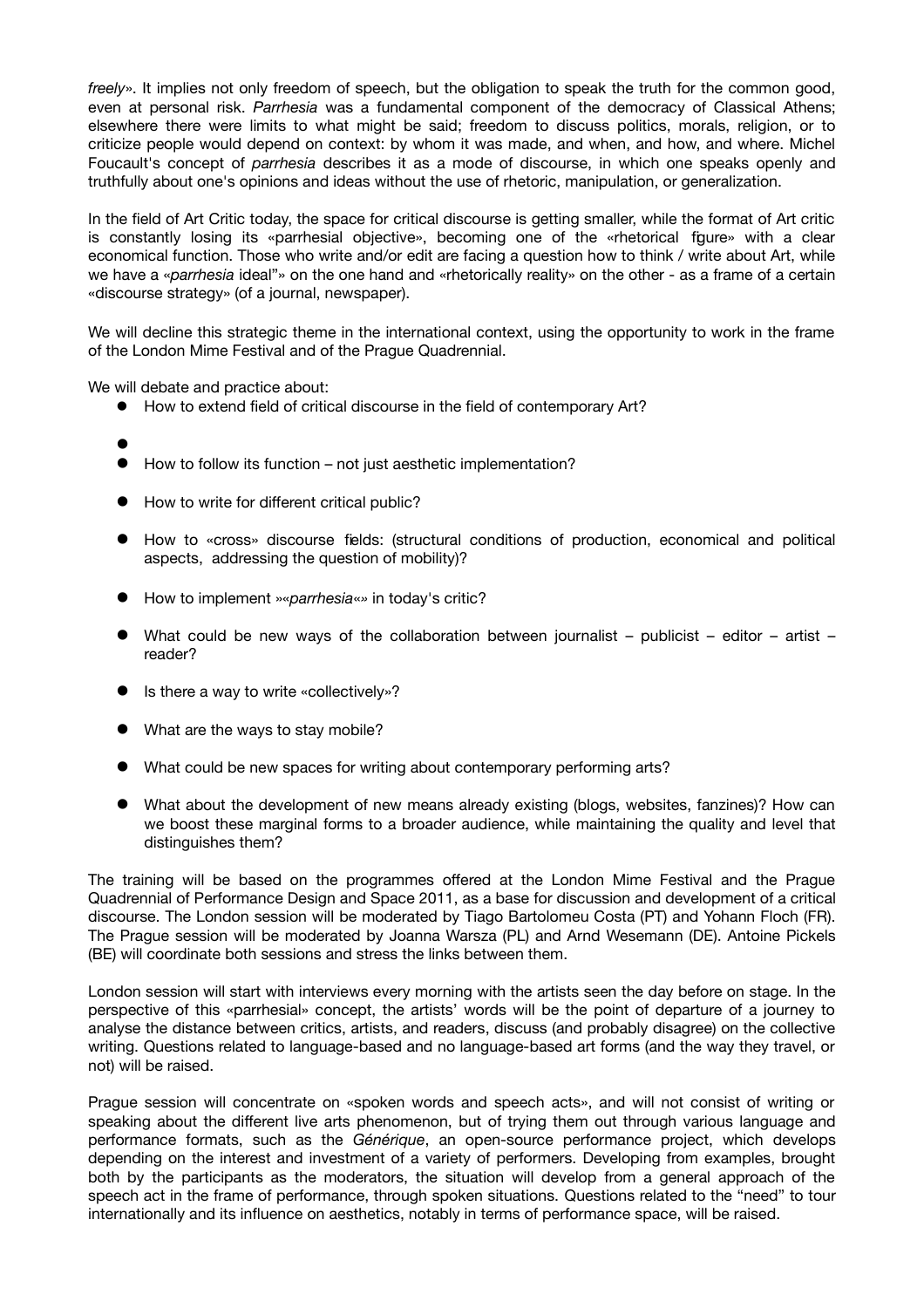*freely*». It implies not only freedom of speech, but the obligation to speak the truth for the common good, even at personal risk. *Parrhesia* was a fundamental component of the democracy of Classical Athens; elsewhere there were limits to what might be said; freedom to discuss politics, morals, religion, or to criticize people would depend on context: by whom it was made, and when, and how, and where. Michel Foucault's concept of *parrhesia* describes it as a mode of discourse, in which one speaks openly and truthfully about one's opinions and ideas without the use of rhetoric, manipulation, or generalization.

In the field of Art Critic today, the space for critical discourse is getting smaller, while the format of Art critic is constantly losing its «parrhesial objective», becoming one of the «rhetorical fgure» with a clear economical function. Those who write and/or edit are facing a question how to think / write about Art, while we have a «*parrhesia* ideal"» on the one hand and «rhetorically reality» on the other - as a frame of a certain «discourse strategy» (of a journal, newspaper).

We will decline this strategic theme in the international context, using the opportunity to work in the frame of the London Mime Festival and of the Prague Quadrennial.

We will debate and practice about:

- $\bullet$  How to extend field of critical discourse in the field of contemporary Art?
- $\bullet$
- $\bullet$  How to follow its function not just aesthetic implementation?
- How to write for different critical public?
- How to «cross» discourse felds: (structural conditions of production, economical and political aspects, addressing the question of mobility)?
- How to implement »«*parrhesia*«*»* in today's critic?
- What could be new ways of the collaboration between journalist publicist editor artist reader?
- Is there a way to write «collectively»?
- What are the ways to stay mobile?
- What could be new spaces for writing about contemporary performing arts?
- What about the development of new means already existing (blogs, websites, fanzines)? How can we boost these marginal forms to a broader audience, while maintaining the quality and level that distinguishes them?

The training will be based on the programmes offered at the London Mime Festival and the Prague Quadrennial of Performance Design and Space 2011, as a base for discussion and development of a critical discourse. The London session will be moderated by Tiago Bartolomeu Costa (PT) and Yohann Floch (FR). The Prague session will be moderated by Joanna Warsza (PL) and Arnd Wesemann (DE). Antoine Pickels (BE) will coordinate both sessions and stress the links between them.

London session will start with interviews every morning with the artists seen the day before on stage. In the perspective of this «parrhesial» concept, the artists' words will be the point of departure of a journey to analyse the distance between critics, artists, and readers, discuss (and probably disagree) on the collective writing. Questions related to language-based and no language-based art forms (and the way they travel, or not) will be raised.

Prague session will concentrate on «spoken words and speech acts», and will not consist of writing or speaking about the different live arts phenomenon, but of trying them out through various language and performance formats, such as the *Générique*, an open-source performance project, which develops depending on the interest and investment of a variety of performers. Developing from examples, brought both by the participants as the moderators, the situation will develop from a general approach of the speech act in the frame of performance, through spoken situations. Questions related to the "need" to tour internationally and its infuence on aesthetics, notably in terms of performance space, will be raised.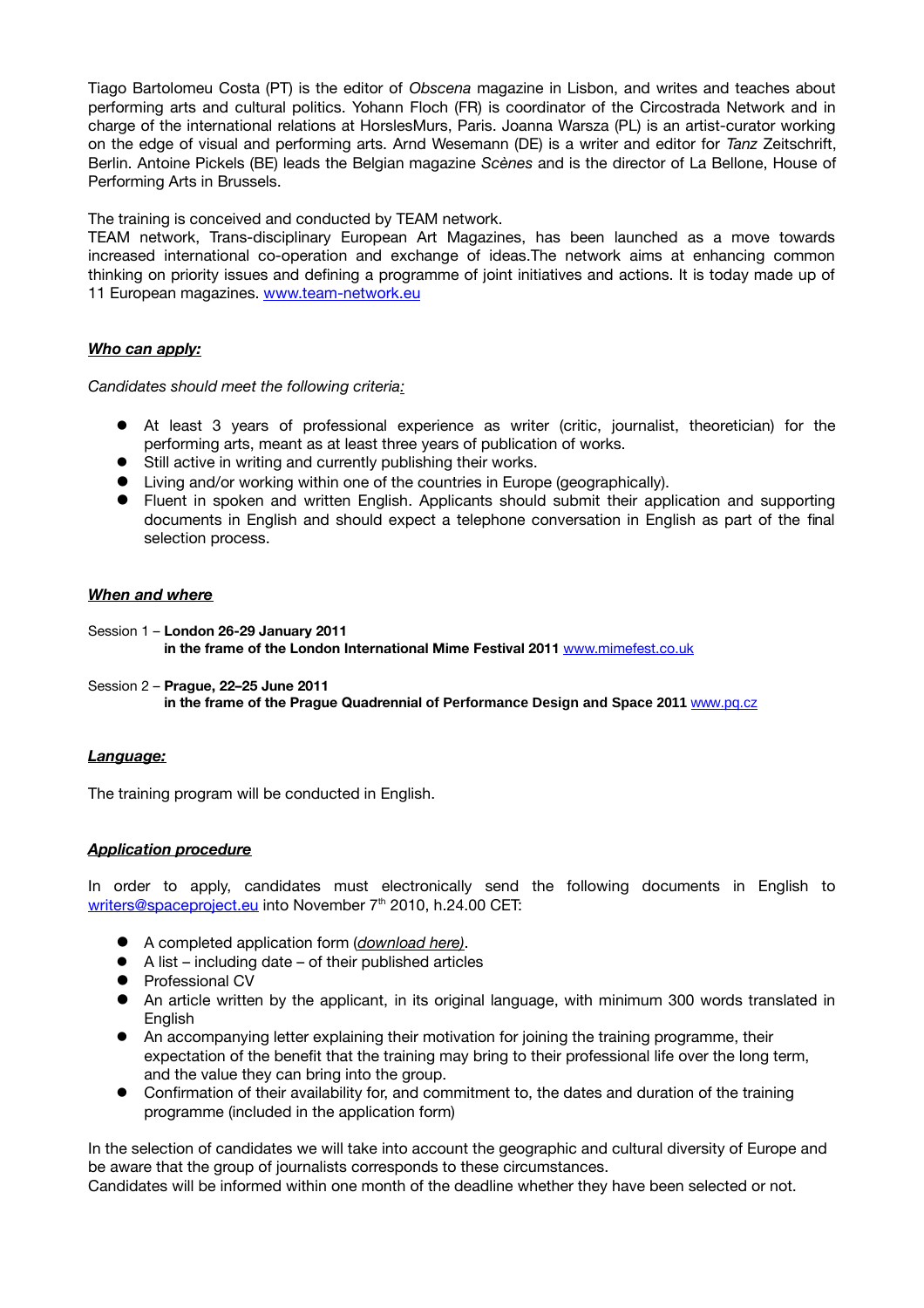Tiago Bartolomeu Costa (PT) is the editor of *Obscena* magazine in Lisbon, and writes and teaches about performing arts and cultural politics. Yohann Floch (FR) is coordinator of the Circostrada Network and in charge of the international relations at HorslesMurs, Paris. Joanna Warsza (PL) is an artist-curator working on the edge of visual and performing arts. Arnd Wesemann (DE) is a writer and editor for *Tanz* Zeitschrift, Berlin. Antoine Pickels (BE) leads the Belgian magazine *Scènes* and is the director of La Bellone, House of Performing Arts in Brussels.

The training is conceived and conducted by TEAM network.

TEAM network, Trans-disciplinary European Art Magazines, has been launched as a move towards increased international co-operation and exchange of ideas.
The network aims at enhancing common thinking on priority issues and defning a programme of joint initiatives and actions. It is today made up of 11 European magazines. [www.team-network.eu](http://www.team-network.eu/)

## *Who can apply:*

*Candidates should meet the following criteria:*

- At least 3 years of professional experience as writer (critic, journalist, theoretician) for the performing arts, meant as at least three years of publication of works.
- Still active in writing and currently publishing their works.
- Living and/or working within one of the countries in Europe (geographically).
- Fluent in spoken and written English. Applicants should submit their application and supporting documents in English and should expect a telephone conversation in English as part of the fnal selection process.

#### *When and where*

- Session 1 **London 26-29 January 2011 in the frame of the London International Mime Festival 2011** [www.mimefest.co.uk](http://www.mimefest.co.uk/)
- Session 2 **Prague, 22–25 June 2011 in the frame of the Prague Quadrennial of Performance Design and Space 2011** [www.pq.cz](http://www.pq.cz/)

#### *Language:*

The training program will be conducted in English.

## *Application procedure*

In order to apply, candidates must electronically send the following documents in English to writers@spaceproject.eu into November 7<sup>th</sup> 2010, h.24.00 CET:

- A completed application form (*download here)*.
- $\bullet$  A list including date of their published articles
- **•** Professional CV
- An article written by the applicant, in its original language, with minimum 300 words translated in English
- An accompanying letter explaining their motivation for joining the training programme, their expectation of the beneft that the training may bring to their professional life over the long term, and the value they can bring into the group.
- Confrmation of their availability for, and commitment to, the dates and duration of the training programme (included in the application form)

In the selection of candidates we will take into account the geographic and cultural diversity of Europe and be aware that the group of journalists corresponds to these circumstances.

Candidates will be informed within one month of the deadline whether they have been selected or not.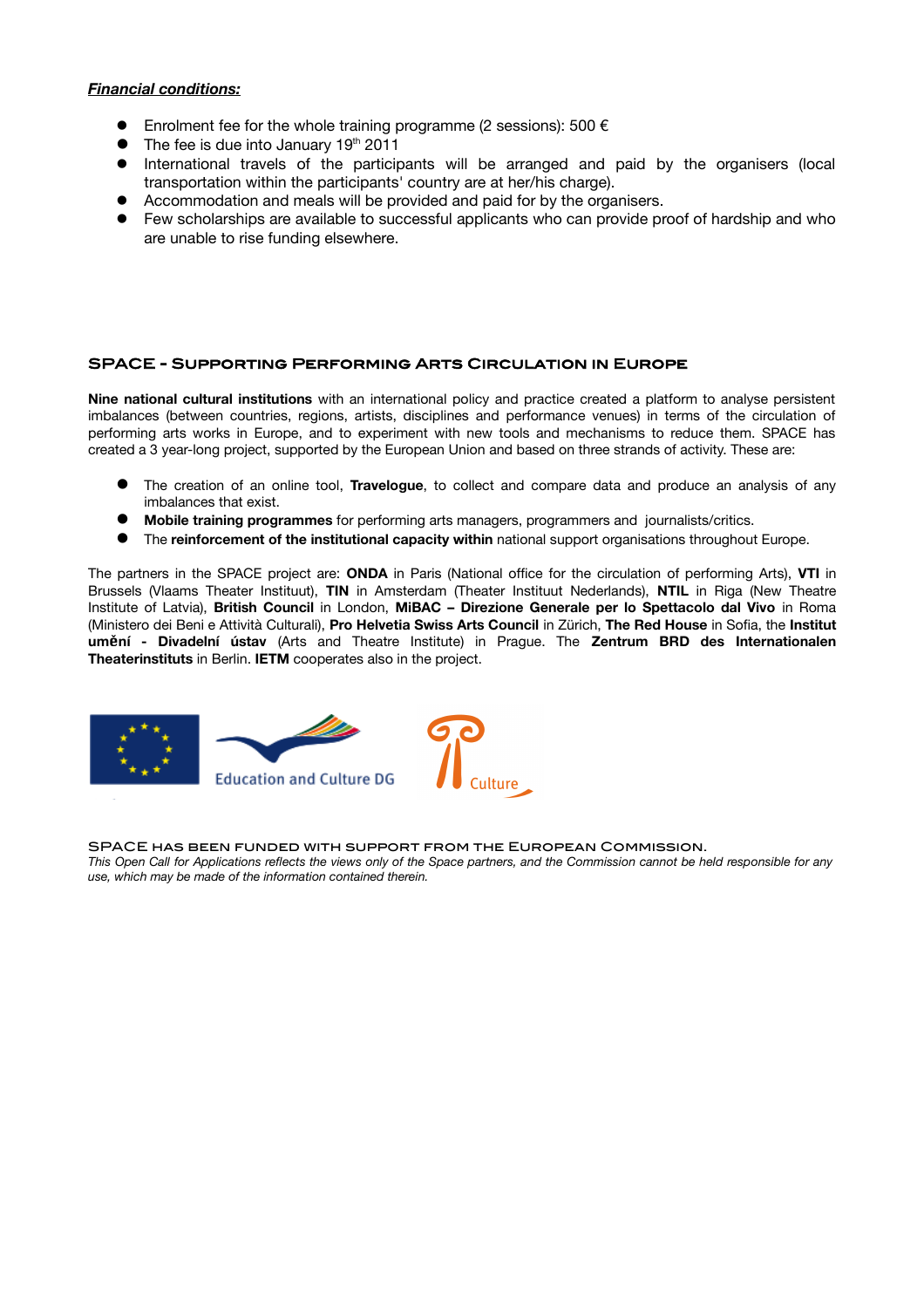### *Financial conditions:*

- Enrolment fee for the whole training programme (2 sessions): 500  $\epsilon$
- $\bullet$  The fee is due into January 19<sup>th</sup> 2011
- International travels of the participants will be arranged and paid by the organisers (local transportation within the participants' country are at her/his charge).
- Accommodation and meals will be provided and paid for by the organisers.
- Few scholarships are available to successful applicants who can provide proof of hardship and who are unable to rise funding elsewhere.

### SPACE - Supporting Performing Arts Circulation in Europe

**Nine national cultural institutions** with an international policy and practice created a platform to analyse persistent imbalances (between countries, regions, artists, disciplines and performance venues) in terms of the circulation of performing arts works in Europe, and to experiment with new tools and mechanisms to reduce them. SPACE has created a 3 year-long project, supported by the European Union and based on three strands of activity. These are:

- The creation of an online tool, **Travelogue**, to collect and compare data and produce an analysis of any imbalances that exist.
- **Mobile training programmes** for performing arts managers, programmers and journalists/critics.
- The **reinforcement of the institutional capacity within** national support organisations throughout Europe.

The partners in the SPACE project are: **ONDA** in Paris (National office for the circulation of performing Arts), VTI in Brussels (Vlaams Theater Instituut), **TIN** in Amsterdam (Theater Instituut Nederlands), **NTIL** in Riga (New Theatre Institute of Latvia), **British Council** in London, **MiBAC – Direzione Generale per lo Spettacolo dal Vivo** in Roma (Ministero dei Beni e Attività Culturali), **Pro Helvetia Swiss Arts Council** in Zürich, **The Red House** in Sofa, the **Institut um**ě**ní - Divadelní ústav** (Arts and Theatre Institute) in Prague. The **Zentrum BRD des Internationalen Theaterinstituts** in Berlin. **IETM** cooperates also in the project.



SPACE has been funded with support from the European Commission.

*This Open Call for Applications refects the views only of the Space partners, and the Commission cannot be held responsible for any use, which may be made of the information contained therein.*